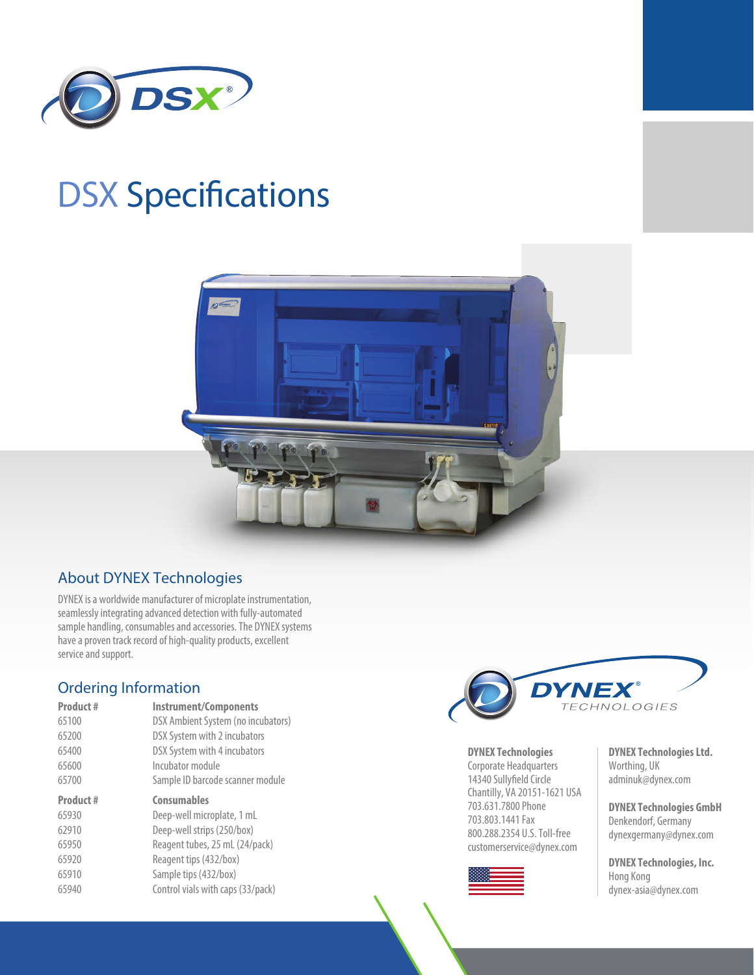

# **DSX Specifications**



#### About DYNEX Technologies

DYNEX is a worldwide manufacturer of microplate instrumentation, seamlessly integrating advanced detection with fully-automated sample handling, consumables and accessories. The DYNEX systems have a proven track record of high-quality products, excellent service and support.

## Ordering Information

| Product# | <b>Instrument/Components</b>       |
|----------|------------------------------------|
| 65100    | DSX Ambient System (no incubators) |
| 65200    | DSX System with 2 incubators       |
| 65400    | DSX System with 4 incubators       |
| 65600    | Incubator module                   |
| 65700    | Sample ID barcode scanner module   |
| Product# | <b>Consumables</b>                 |
|          |                                    |
| 65930    | Deep-well microplate, 1 mL         |
| 62910    | Deep-well strips (250/box)         |
| 65950    | Reagent tubes, 25 mL (24/pack)     |
| 65920    | Reagent tips (432/box)             |
| 65910    | Sample tips (432/box)              |
| 65940    | Control vials with caps (33/pack)  |



**DYNEX Technologies** 

Corporate Headquarters 14340 Sullyfield Circle Chantilly, VA 20151-1621 USA 703.631.7800 Phone 703.803.1441 Fax 800.288.2354 U.S. Toll-free customerservice@dynex.com



**DYNEX Technologies Ltd.**  Worthing, UK adminuk@dynex.com

**DYNEX Technologies GmbH**  Denkendorf, Germany dynexgermany@dynex.com

**DYNEX Technologies, Inc.**  Hong Kong dynex-asia@dynex.com